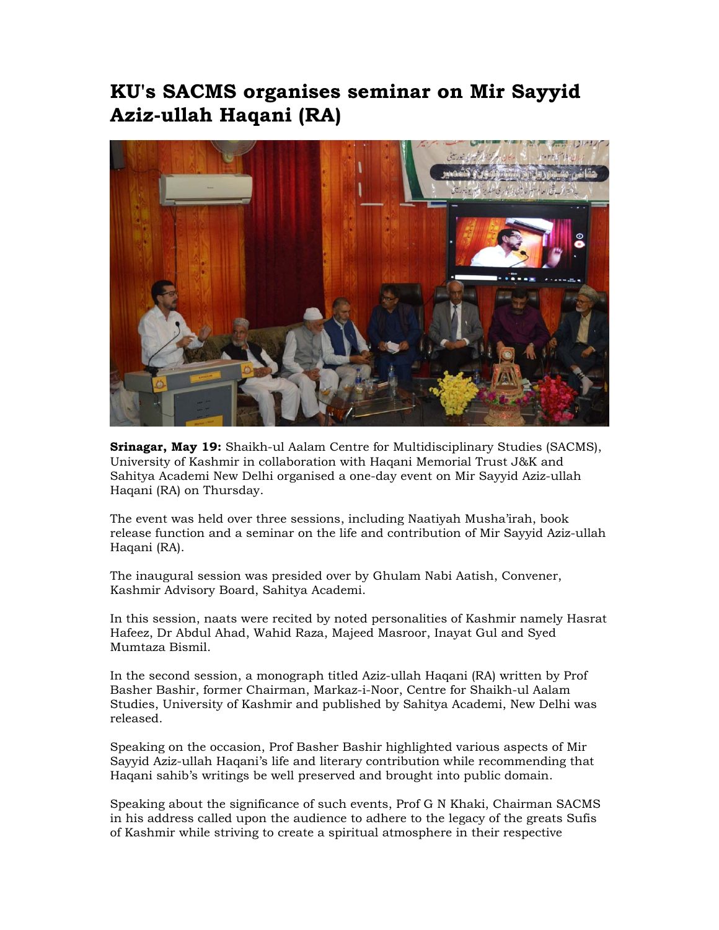## **KU's SACMS organises seminar on Mir Sayyid Aziz-ullah Haqani (RA)**



**Srinagar, May 19:** Shaikh-ul Aalam Centre for Multidisciplinary Studies (SACMS), University of Kashmir in collaboration with Haqani Memorial Trust J&K and Sahitya Academi New Delhi organised a one-day event on Mir Sayyid Aziz-ullah Haqani (RA) on Thursday.

The event was held over three sessions, including Naatiyah Musha'irah, book release function and a seminar on the life and contribution of Mir Sayyid Aziz-ullah Haqani (RA).

The inaugural session was presided over by Ghulam Nabi Aatish, Convener, Kashmir Advisory Board, Sahitya Academi.

In this session, naats were recited by noted personalities of Kashmir namely Hasrat Hafeez, Dr Abdul Ahad, Wahid Raza, Majeed Masroor, Inayat Gul and Syed Mumtaza Bismil.

In the second session, a monograph titled Aziz-ullah Haqani (RA) written by Prof Basher Bashir, former Chairman, Markaz-i-Noor, Centre for Shaikh-ul Aalam Studies, University of Kashmir and published by Sahitya Academi, New Delhi was released.

Speaking on the occasion, Prof Basher Bashir highlighted various aspects of Mir Sayyid Aziz-ullah Haqani's life and literary contribution while recommending that Haqani sahib's writings be well preserved and brought into public domain.

Speaking about the significance of such events, Prof G N Khaki, Chairman SACMS in his address called upon the audience to adhere to the legacy of the greats Sufis of Kashmir while striving to create a spiritual atmosphere in their respective